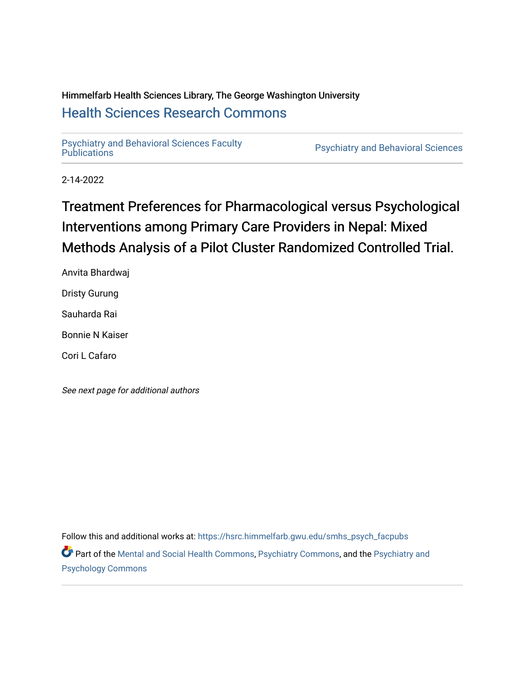## Himmelfarb Health Sciences Library, The George Washington University [Health Sciences Research Commons](https://hsrc.himmelfarb.gwu.edu/)

[Psychiatry and Behavioral Sciences Faculty](https://hsrc.himmelfarb.gwu.edu/smhs_psych_facpubs)

Psychiatry and Behavioral Sciences

2-14-2022

# Treatment Preferences for Pharmacological versus Psychological Interventions among Primary Care Providers in Nepal: Mixed Methods Analysis of a Pilot Cluster Randomized Controlled Trial.

Anvita Bhardwaj Dristy Gurung Sauharda Rai Bonnie N Kaiser Cori L Cafaro

See next page for additional authors

Follow this and additional works at: [https://hsrc.himmelfarb.gwu.edu/smhs\\_psych\\_facpubs](https://hsrc.himmelfarb.gwu.edu/smhs_psych_facpubs?utm_source=hsrc.himmelfarb.gwu.edu%2Fsmhs_psych_facpubs%2F1821&utm_medium=PDF&utm_campaign=PDFCoverPages)

Part of the [Mental and Social Health Commons,](http://network.bepress.com/hgg/discipline/709?utm_source=hsrc.himmelfarb.gwu.edu%2Fsmhs_psych_facpubs%2F1821&utm_medium=PDF&utm_campaign=PDFCoverPages) [Psychiatry Commons](http://network.bepress.com/hgg/discipline/704?utm_source=hsrc.himmelfarb.gwu.edu%2Fsmhs_psych_facpubs%2F1821&utm_medium=PDF&utm_campaign=PDFCoverPages), and the [Psychiatry and](http://network.bepress.com/hgg/discipline/908?utm_source=hsrc.himmelfarb.gwu.edu%2Fsmhs_psych_facpubs%2F1821&utm_medium=PDF&utm_campaign=PDFCoverPages) [Psychology Commons](http://network.bepress.com/hgg/discipline/908?utm_source=hsrc.himmelfarb.gwu.edu%2Fsmhs_psych_facpubs%2F1821&utm_medium=PDF&utm_campaign=PDFCoverPages)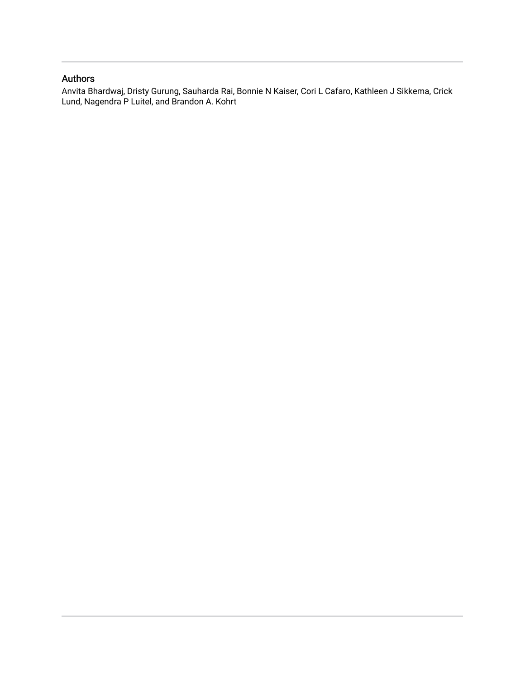## Authors

Anvita Bhardwaj, Dristy Gurung, Sauharda Rai, Bonnie N Kaiser, Cori L Cafaro, Kathleen J Sikkema, Crick Lund, Nagendra P Luitel, and Brandon A. Kohrt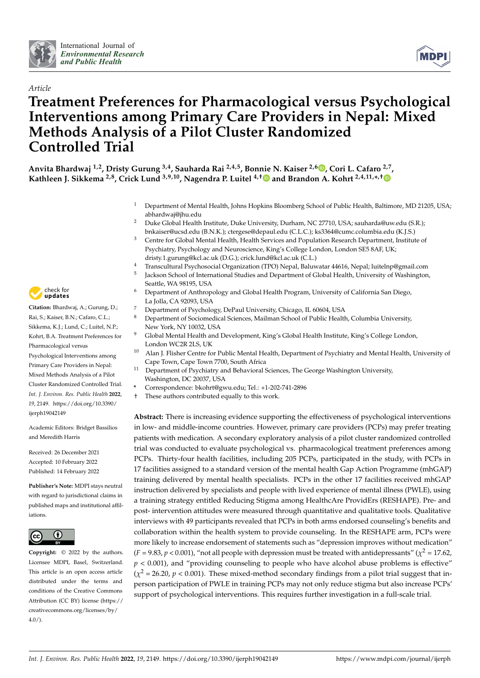



# *Article* **Treatment Preferences for Pharmacological versus Psychological Interventions among Primary Care Providers in Nepal: Mixed Methods Analysis of a Pilot Cluster Randomized Controlled Trial**

**Anvita Bhardwaj 1,2, Dristy Gurung 3,4, Sauharda Rai 2,4,5, Bonnie N. Kaiser 2,6 [,](https://orcid.org/0000-0003-0742-1302) Cori L. Cafaro 2,7 , Kathleen J. Sikkema 2,8, Crick Lund 3,9,10, Nagendra P. Luitel 4,[†](https://orcid.org/0000-0002-8291-0205) and Brandon A. Kohrt 2,4,11,\* ,[†](https://orcid.org/0000-0002-3829-4820)**

- <sup>1</sup> Department of Mental Health, Johns Hopkins Bloomberg School of Public Health, Baltimore, MD 21205, USA; abhardwaj@jhu.edu
- <sup>2</sup> Duke Global Health Institute, Duke University, Durham, NC 27710, USA; sauharda@uw.edu (S.R.); bnkaiser@ucsd.edu (B.N.K.); ctergese@depaul.edu (C.L.C.); ks3364@cumc.columbia.edu (K.J.S.)
- <sup>3</sup> Centre for Global Mental Health, Health Services and Population Research Department, Institute of Psychiatry, Psychology and Neuroscience, King's College London, London SE5 8AF, UK; dristy.1.gurung@kcl.ac.uk (D.G.); crick.lund@kcl.ac.uk (C.L.)
- <sup>4</sup> Transcultural Psychosocial Organization (TPO) Nepal, Baluwatar 44616, Nepal; luitelnp@gmail.com
- Jackson School of International Studies and Department of Global Health, University of Washington, Seattle, WA 98195, USA
- <sup>6</sup> Department of Anthropology and Global Health Program, University of California San Diego, La Jolla, CA 92093, USA
- 7 Department of Psychology, DePaul University, Chicago, IL 60604, USA
- <sup>8</sup> Department of Sociomedical Sciences, Mailman School of Public Health, Columbia University, New York, NY 10032, USA
- <sup>9</sup> Global Mental Health and Development, King's Global Health Institute, King's College London, London WC2R 2LS, UK
- <sup>10</sup> Alan J. Flisher Centre for Public Mental Health, Department of Psychiatry and Mental Health, University of Cape Town, Cape Town 7700, South Africa
- <sup>11</sup> Department of Psychiatry and Behavioral Sciences, The George Washington University, Washington, DC 20037, USA
- **\*** Correspondence: bkohrt@gwu.edu; Tel.: +1-202-741-2896
- † These authors contributed equally to this work.

**Abstract:** There is increasing evidence supporting the effectiveness of psychological interventions in low- and middle-income countries. However, primary care providers (PCPs) may prefer treating patients with medication. A secondary exploratory analysis of a pilot cluster randomized controlled trial was conducted to evaluate psychological vs. pharmacological treatment preferences among PCPs. Thirty-four health facilities, including 205 PCPs, participated in the study, with PCPs in 17 facilities assigned to a standard version of the mental health Gap Action Programme (mhGAP) training delivered by mental health specialists. PCPs in the other 17 facilities received mhGAP instruction delivered by specialists and people with lived experience of mental illness (PWLE), using a training strategy entitled Reducing Stigma among HealthcAre ProvidErs (RESHAPE). Pre- and post- intervention attitudes were measured through quantitative and qualitative tools. Qualitative interviews with 49 participants revealed that PCPs in both arms endorsed counseling's benefits and collaboration within the health system to provide counseling. In the RESHAPE arm, PCPs were more likely to increase endorsement of statements such as "depression improves without medication"  $(F = 9.83, p < 0.001)$ , "not all people with depression must be treated with antidepressants" ( $\chi^2 = 17.62$ ,  $p < 0.001$ ), and "providing counseling to people who have alcohol abuse problems is effective"  $(\chi^2 = 26.20, p < 0.001)$ . These mixed-method secondary findings from a pilot trial suggest that inperson participation of PWLE in training PCPs may not only reduce stigma but also increase PCPs' support of psychological interventions. This requires further investigation in a full-scale trial.



[ijerph19042149](https://doi.org/10.3390/ijerph19042149)

Rai, S.; Kaiser, B.N.; Cafaro, C.L.; Sikkema, K.J.; Lund, C.; Luitel, N.P.; Kohrt, B.A. Treatment Preferences for Pharmacological versus Psychological Interventions among Primary Care Providers in Nepal: Mixed Methods Analysis of a Pilot Cluster Randomized Controlled Trial. *Int. J. Environ. Res. Public Health* **2022**, *19*, 2149. [https://doi.org/10.3390/](https://doi.org/10.3390/ijerph19042149)

**Citation:** Bhardwaj, A.; Gurung, D.;

5

Academic Editors: Bridget Bassilios and Meredith Harris

Received: 26 December 2021 Accepted: 10 February 2022 Published: 14 February 2022

**Publisher's Note:** MDPI stays neutral with regard to jurisdictional claims in published maps and institutional affiliations.



**Copyright:** © 2022 by the authors. Licensee MDPI, Basel, Switzerland. This article is an open access article distributed under the terms and conditions of the Creative Commons Attribution (CC BY) license [\(https://](https://creativecommons.org/licenses/by/4.0/) [creativecommons.org/licenses/by/](https://creativecommons.org/licenses/by/4.0/)  $4.0/$ ).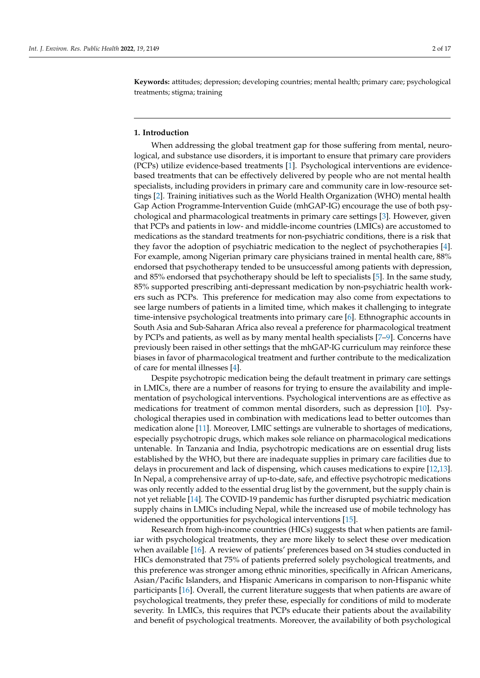**Keywords:** attitudes; depression; developing countries; mental health; primary care; psychological treatments; stigma; training

#### **1. Introduction**

When addressing the global treatment gap for those suffering from mental, neurological, and substance use disorders, it is important to ensure that primary care providers (PCPs) utilize evidence-based treatments [\[1\]](#page-15-0). Psychological interventions are evidencebased treatments that can be effectively delivered by people who are not mental health specialists, including providers in primary care and community care in low-resource settings [\[2\]](#page-15-1). Training initiatives such as the World Health Organization (WHO) mental health Gap Action Programme-Intervention Guide (mhGAP-IG) encourage the use of both psychological and pharmacological treatments in primary care settings [\[3\]](#page-16-0). However, given that PCPs and patients in low- and middle-income countries (LMICs) are accustomed to medications as the standard treatments for non-psychiatric conditions, there is a risk that they favor the adoption of psychiatric medication to the neglect of psychotherapies [\[4\]](#page-16-1). For example, among Nigerian primary care physicians trained in mental health care, 88% endorsed that psychotherapy tended to be unsuccessful among patients with depression, and 85% endorsed that psychotherapy should be left to specialists [\[5\]](#page-16-2). In the same study, 85% supported prescribing anti-depressant medication by non-psychiatric health workers such as PCPs. This preference for medication may also come from expectations to see large numbers of patients in a limited time, which makes it challenging to integrate time-intensive psychological treatments into primary care [\[6\]](#page-16-3). Ethnographic accounts in South Asia and Sub-Saharan Africa also reveal a preference for pharmacological treatment by PCPs and patients, as well as by many mental health specialists [\[7](#page-16-4)[–9\]](#page-16-5). Concerns have previously been raised in other settings that the mhGAP-IG curriculum may reinforce these biases in favor of pharmacological treatment and further contribute to the medicalization of care for mental illnesses [\[4\]](#page-16-1).

Despite psychotropic medication being the default treatment in primary care settings in LMICs, there are a number of reasons for trying to ensure the availability and implementation of psychological interventions. Psychological interventions are as effective as medications for treatment of common mental disorders, such as depression [\[10\]](#page-16-6). Psychological therapies used in combination with medications lead to better outcomes than medication alone [\[11\]](#page-16-7). Moreover, LMIC settings are vulnerable to shortages of medications, especially psychotropic drugs, which makes sole reliance on pharmacological medications untenable. In Tanzania and India, psychotropic medications are on essential drug lists established by the WHO, but there are inadequate supplies in primary care facilities due to delays in procurement and lack of dispensing, which causes medications to expire [\[12](#page-16-8)[,13\]](#page-16-9). In Nepal, a comprehensive array of up-to-date, safe, and effective psychotropic medications was only recently added to the essential drug list by the government, but the supply chain is not yet reliable [\[14\]](#page-16-10). The COVID-19 pandemic has further disrupted psychiatric medication supply chains in LMICs including Nepal, while the increased use of mobile technology has widened the opportunities for psychological interventions [\[15\]](#page-16-11).

Research from high-income countries (HICs) suggests that when patients are familiar with psychological treatments, they are more likely to select these over medication when available [\[16\]](#page-16-12). A review of patients' preferences based on 34 studies conducted in HICs demonstrated that 75% of patients preferred solely psychological treatments, and this preference was stronger among ethnic minorities, specifically in African Americans, Asian/Pacific Islanders, and Hispanic Americans in comparison to non-Hispanic white participants [\[16\]](#page-16-12). Overall, the current literature suggests that when patients are aware of psychological treatments, they prefer these, especially for conditions of mild to moderate severity. In LMICs, this requires that PCPs educate their patients about the availability and benefit of psychological treatments. Moreover, the availability of both psychological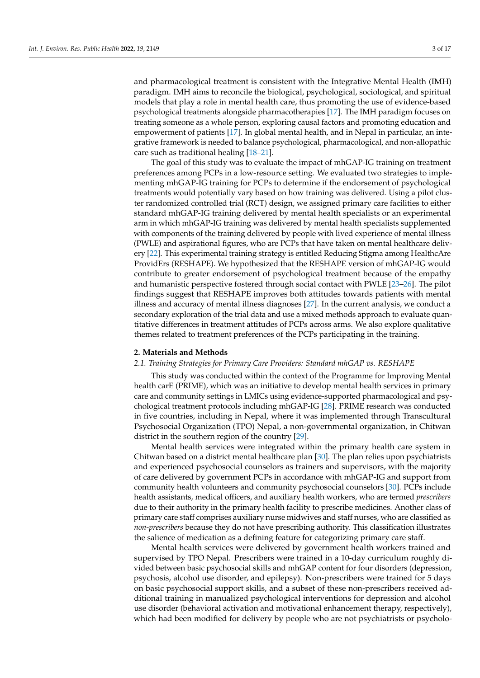and pharmacological treatment is consistent with the Integrative Mental Health (IMH) paradigm. IMH aims to reconcile the biological, psychological, sociological, and spiritual models that play a role in mental health care, thus promoting the use of evidence-based psychological treatments alongside pharmacotherapies [\[17\]](#page-16-13). The IMH paradigm focuses on treating someone as a whole person, exploring causal factors and promoting education and empowerment of patients [\[17\]](#page-16-13). In global mental health, and in Nepal in particular, an integrative framework is needed to balance psychological, pharmacological, and non-allopathic care such as traditional healing [\[18–](#page-16-14)[21\]](#page-16-15).

The goal of this study was to evaluate the impact of mhGAP-IG training on treatment preferences among PCPs in a low-resource setting. We evaluated two strategies to implementing mhGAP-IG training for PCPs to determine if the endorsement of psychological treatments would potentially vary based on how training was delivered. Using a pilot cluster randomized controlled trial (RCT) design, we assigned primary care facilities to either standard mhGAP-IG training delivered by mental health specialists or an experimental arm in which mhGAP-IG training was delivered by mental health specialists supplemented with components of the training delivered by people with lived experience of mental illness (PWLE) and aspirational figures, who are PCPs that have taken on mental healthcare delivery [\[22\]](#page-16-16). This experimental training strategy is entitled Reducing Stigma among HealthcAre ProvidErs (RESHAPE). We hypothesized that the RESHAPE version of mhGAP-IG would contribute to greater endorsement of psychological treatment because of the empathy and humanistic perspective fostered through social contact with PWLE [\[23–](#page-16-17)[26\]](#page-16-18). The pilot findings suggest that RESHAPE improves both attitudes towards patients with mental illness and accuracy of mental illness diagnoses [\[27\]](#page-16-19). In the current analysis, we conduct a secondary exploration of the trial data and use a mixed methods approach to evaluate quantitative differences in treatment attitudes of PCPs across arms. We also explore qualitative themes related to treatment preferences of the PCPs participating in the training.

#### **2. Materials and Methods**

#### *2.1. Training Strategies for Primary Care Providers: Standard mhGAP vs. RESHAPE*

This study was conducted within the context of the Programme for Improving Mental health carE (PRIME), which was an initiative to develop mental health services in primary care and community settings in LMICs using evidence-supported pharmacological and psychological treatment protocols including mhGAP-IG [\[28\]](#page-17-0). PRIME research was conducted in five countries, including in Nepal, where it was implemented through Transcultural Psychosocial Organization (TPO) Nepal, a non-governmental organization, in Chitwan district in the southern region of the country [\[29\]](#page-17-1).

Mental health services were integrated within the primary health care system in Chitwan based on a district mental healthcare plan [\[30\]](#page-17-2). The plan relies upon psychiatrists and experienced psychosocial counselors as trainers and supervisors, with the majority of care delivered by government PCPs in accordance with mhGAP-IG and support from community health volunteers and community psychosocial counselors [\[30\]](#page-17-2). PCPs include health assistants, medical officers, and auxiliary health workers, who are termed *prescribers* due to their authority in the primary health facility to prescribe medicines. Another class of primary care staff comprises auxiliary nurse midwives and staff nurses, who are classified as *non-prescribers* because they do not have prescribing authority. This classification illustrates the salience of medication as a defining feature for categorizing primary care staff.

Mental health services were delivered by government health workers trained and supervised by TPO Nepal. Prescribers were trained in a 10-day curriculum roughly divided between basic psychosocial skills and mhGAP content for four disorders (depression, psychosis, alcohol use disorder, and epilepsy). Non-prescribers were trained for 5 days on basic psychosocial support skills, and a subset of these non-prescribers received additional training in manualized psychological interventions for depression and alcohol use disorder (behavioral activation and motivational enhancement therapy, respectively), which had been modified for delivery by people who are not psychiatrists or psycholo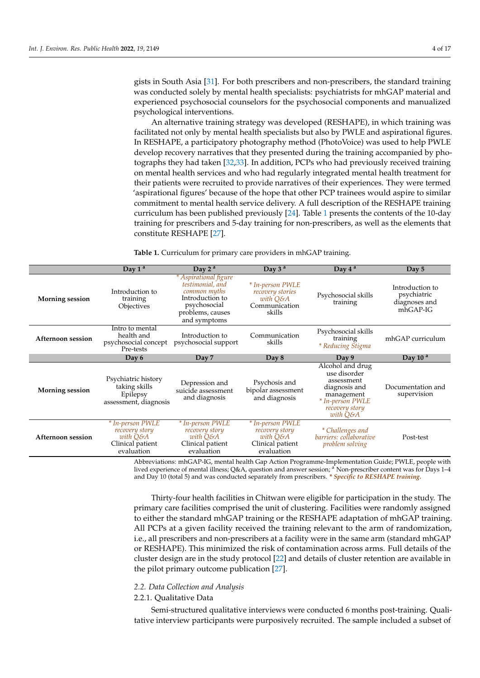gists in South Asia [\[31\]](#page-17-3). For both prescribers and non-prescribers, the standard training was conducted solely by mental health specialists: psychiatrists for mhGAP material and experienced psychosocial counselors for the psychosocial components and manualized psychological interventions.

An alternative training strategy was developed (RESHAPE), in which training was facilitated not only by mental health specialists but also by PWLE and aspirational figures. In RESHAPE, a participatory photography method (PhotoVoice) was used to help PWLE develop recovery narratives that they presented during the training accompanied by photographs they had taken [\[32,](#page-17-4)[33\]](#page-17-5). In addition, PCPs who had previously received training on mental health services and who had regularly integrated mental health treatment for their patients were recruited to provide narratives of their experiences. They were termed 'aspirational figures' because of the hope that other PCP trainees would aspire to similar commitment to mental health service delivery. A full description of the RESHAPE training curriculum has been published previously [\[24\]](#page-16-20). Table [1](#page-5-0) presents the contents of the 10-day training for prescribers and 5-day training for non-prescribers, as well as the elements that constitute RESHAPE [\[27\]](#page-16-19).

|                          | Day $1^a$                                                                        | Day $2^a$                                                                                                                        | Day $3a$                                                                           | Day $4^a$                                                                                                                       | Day 5                                                         |
|--------------------------|----------------------------------------------------------------------------------|----------------------------------------------------------------------------------------------------------------------------------|------------------------------------------------------------------------------------|---------------------------------------------------------------------------------------------------------------------------------|---------------------------------------------------------------|
| <b>Morning session</b>   | Introduction to<br>training<br>Objectives                                        | * Aspirational figure<br>testimonial, and<br>common myths<br>Introduction to<br>psychosocial<br>problems, causes<br>and symptoms | * In-person PWLE<br><i>recovery stories</i><br>with O&A<br>Communication<br>skills | Psychosocial skills<br>training                                                                                                 | Introduction to<br>psychiatric<br>diagnoses and<br>$mhGAP-IG$ |
| <b>Afternoon session</b> | Intro to mental<br>health and<br>psychosocial concept<br>Pre-tests               | Introduction to<br>psychosocial support                                                                                          | Communication<br>skills                                                            | Psychosocial skills<br>training<br><i>* Reducing Stigma</i>                                                                     | mhGAP curriculum                                              |
|                          | Day 6                                                                            | Day 7                                                                                                                            | Day 8                                                                              | Day 9                                                                                                                           | Day 10 $a$                                                    |
| <b>Morning session</b>   | Psychiatric history<br>taking skills<br>Epilepsy<br>assessment, diagnosis        | Depression and<br>suicide assessment<br>and diagnosis                                                                            | Psychosis and<br>bipolar assessment<br>and diagnosis                               | Alcohol and drug<br>use disorder<br>assessment<br>diagnosis and<br>management<br>* In-person PWLE<br>recovery story<br>with Q&A | Documentation and<br>supervision                              |
| <b>Afternoon session</b> | * In-person PWLE<br>recovery story<br>with O&A<br>Clinical patient<br>evaluation | * In-person PWLE<br>recovery story<br>with O&A<br>Clinical patient<br>evaluation                                                 | * In-person PWLE<br>recovery story<br>with O&A<br>Clinical patient<br>evaluation   | * Challenges and<br>barriers: collaborative<br>problem solving                                                                  | Post-test                                                     |

<span id="page-5-0"></span>**Table 1.** Curriculum for primary care providers in mhGAP training.

Abbreviations: mhGAP-IG, mental health Gap Action Programme-Implementation Guide; PWLE, people with lived experience of mental illness; Q&A, question and answer session; <sup>a</sup> Non-prescriber content was for Days 1–4 and Day 10 (total 5) and was conducted separately from prescribers. *\* Specific to RESHAPE training.*

Thirty-four health facilities in Chitwan were eligible for participation in the study. The primary care facilities comprised the unit of clustering. Facilities were randomly assigned to either the standard mhGAP training or the RESHAPE adaptation of mhGAP training. All PCPs at a given facility received the training relevant to the arm of randomization, i.e., all prescribers and non-prescribers at a facility were in the same arm (standard mhGAP or RESHAPE). This minimized the risk of contamination across arms. Full details of the cluster design are in the study protocol [\[22\]](#page-16-16) and details of cluster retention are available in the pilot primary outcome publication [\[27\]](#page-16-19).

#### *2.2. Data Collection and Analysis*

### 2.2.1. Qualitative Data

Semi-structured qualitative interviews were conducted 6 months post-training. Qualitative interview participants were purposively recruited. The sample included a subset of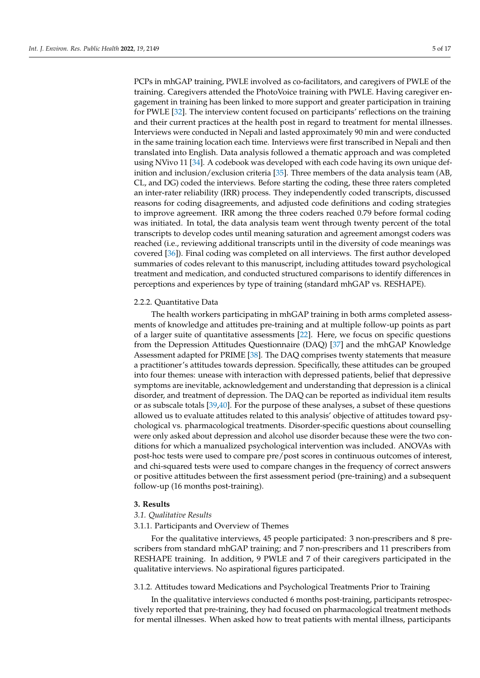PCPs in mhGAP training, PWLE involved as co-facilitators, and caregivers of PWLE of the training. Caregivers attended the PhotoVoice training with PWLE. Having caregiver engagement in training has been linked to more support and greater participation in training for PWLE [\[32\]](#page-17-4). The interview content focused on participants' reflections on the training and their current practices at the health post in regard to treatment for mental illnesses. Interviews were conducted in Nepali and lasted approximately 90 min and were conducted in the same training location each time. Interviews were first transcribed in Nepali and then translated into English. Data analysis followed a thematic approach and was completed using NVivo 11 [\[34\]](#page-17-6). A codebook was developed with each code having its own unique definition and inclusion/exclusion criteria [\[35\]](#page-17-7). Three members of the data analysis team (AB, CL, and DG) coded the interviews. Before starting the coding, these three raters completed an inter-rater reliability (IRR) process. They independently coded transcripts, discussed reasons for coding disagreements, and adjusted code definitions and coding strategies to improve agreement. IRR among the three coders reached 0.79 before formal coding was initiated. In total, the data analysis team went through twenty percent of the total transcripts to develop codes until meaning saturation and agreement amongst coders was reached (i.e., reviewing additional transcripts until in the diversity of code meanings was covered [\[36\]](#page-17-8)). Final coding was completed on all interviews. The first author developed summaries of codes relevant to this manuscript, including attitudes toward psychological treatment and medication, and conducted structured comparisons to identify differences in perceptions and experiences by type of training (standard mhGAP vs. RESHAPE).

#### 2.2.2. Quantitative Data

The health workers participating in mhGAP training in both arms completed assessments of knowledge and attitudes pre-training and at multiple follow-up points as part of a larger suite of quantitative assessments [\[22\]](#page-16-16). Here, we focus on specific questions from the Depression Attitudes Questionnaire (DAQ) [\[37\]](#page-17-9) and the mhGAP Knowledge Assessment adapted for PRIME [\[38\]](#page-17-10). The DAQ comprises twenty statements that measure a practitioner's attitudes towards depression. Specifically, these attitudes can be grouped into four themes: unease with interaction with depressed patients, belief that depressive symptoms are inevitable, acknowledgement and understanding that depression is a clinical disorder, and treatment of depression. The DAQ can be reported as individual item results or as subscale totals [\[39](#page-17-11)[,40\]](#page-17-12). For the purpose of these analyses, a subset of these questions allowed us to evaluate attitudes related to this analysis' objective of attitudes toward psychological vs. pharmacological treatments. Disorder-specific questions about counselling were only asked about depression and alcohol use disorder because these were the two conditions for which a manualized psychological intervention was included. ANOVAs with post-hoc tests were used to compare pre/post scores in continuous outcomes of interest, and chi-squared tests were used to compare changes in the frequency of correct answers or positive attitudes between the first assessment period (pre-training) and a subsequent follow-up (16 months post-training).

#### **3. Results**

#### *3.1. Qualitative Results*

#### 3.1.1. Participants and Overview of Themes

For the qualitative interviews, 45 people participated: 3 non-prescribers and 8 prescribers from standard mhGAP training; and 7 non-prescribers and 11 prescribers from RESHAPE training. In addition, 9 PWLE and 7 of their caregivers participated in the qualitative interviews. No aspirational figures participated.

#### 3.1.2. Attitudes toward Medications and Psychological Treatments Prior to Training

In the qualitative interviews conducted 6 months post-training, participants retrospectively reported that pre-training, they had focused on pharmacological treatment methods for mental illnesses. When asked how to treat patients with mental illness, participants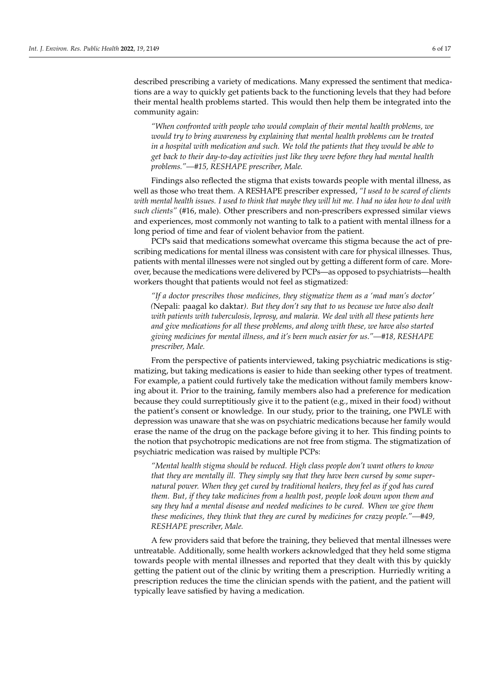described prescribing a variety of medications. Many expressed the sentiment that medications are a way to quickly get patients back to the functioning levels that they had before their mental health problems started. This would then help them be integrated into the community again:

*"When confronted with people who would complain of their mental health problems, we would try to bring awareness by explaining that mental health problems can be treated in a hospital with medication and such. We told the patients that they would be able to get back to their day-to-day activities just like they were before they had mental health problems."—#15, RESHAPE prescriber, Male.*

Findings also reflected the stigma that exists towards people with mental illness, as well as those who treat them. A RESHAPE prescriber expressed, *"I used to be scared of clients with mental health issues. I used to think that maybe they will hit me. I had no idea how to deal with such clients"* (#16, male). Other prescribers and non-prescribers expressed similar views and experiences, most commonly not wanting to talk to a patient with mental illness for a long period of time and fear of violent behavior from the patient.

PCPs said that medications somewhat overcame this stigma because the act of prescribing medications for mental illness was consistent with care for physical illnesses. Thus, patients with mental illnesses were not singled out by getting a different form of care. Moreover, because the medications were delivered by PCPs—as opposed to psychiatrists—health workers thought that patients would not feel as stigmatized:

*"If a doctor prescribes those medicines, they stigmatize them as a 'mad man's doctor' (*Nepali: paagal ko daktar*). But they don't say that to us because we have also dealt with patients with tuberculosis, leprosy, and malaria. We deal with all these patients here and give medications for all these problems, and along with these, we have also started giving medicines for mental illness, and it's been much easier for us."—#18, RESHAPE prescriber, Male.*

From the perspective of patients interviewed, taking psychiatric medications is stigmatizing, but taking medications is easier to hide than seeking other types of treatment. For example, a patient could furtively take the medication without family members knowing about it. Prior to the training, family members also had a preference for medication because they could surreptitiously give it to the patient (e.g., mixed in their food) without the patient's consent or knowledge. In our study, prior to the training, one PWLE with depression was unaware that she was on psychiatric medications because her family would erase the name of the drug on the package before giving it to her. This finding points to the notion that psychotropic medications are not free from stigma. The stigmatization of psychiatric medication was raised by multiple PCPs:

*"Mental health stigma should be reduced. High class people don't want others to know that they are mentally ill. They simply say that they have been cursed by some supernatural power. When they get cured by traditional healers, they feel as if god has cured them. But, if they take medicines from a health post, people look down upon them and say they had a mental disease and needed medicines to be cured. When we give them these medicines, they think that they are cured by medicines for crazy people."—#49, RESHAPE prescriber, Male.*

A few providers said that before the training, they believed that mental illnesses were untreatable. Additionally, some health workers acknowledged that they held some stigma towards people with mental illnesses and reported that they dealt with this by quickly getting the patient out of the clinic by writing them a prescription. Hurriedly writing a prescription reduces the time the clinician spends with the patient, and the patient will typically leave satisfied by having a medication.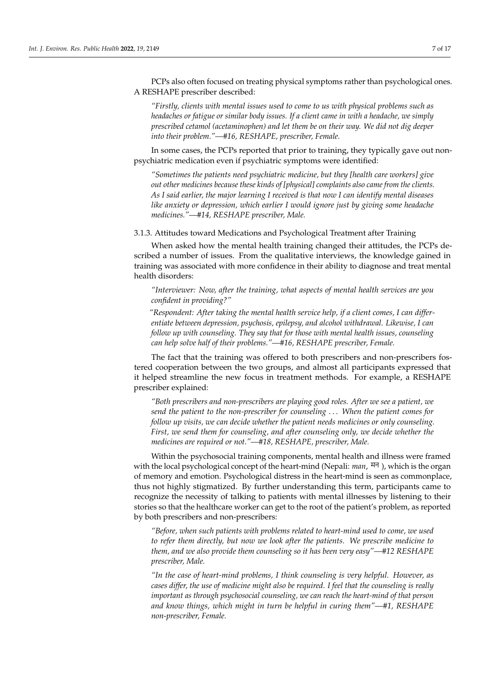PCPs also often focused on treating physical symptoms rather than psychological ones. A RESHAPE prescriber described:

> "Firstly, clients with mental issues used to come to us with physical problems such as headaches or fatigue or similar body issues. If a client came in with a headache, we simply prescribed cetamol (acetaminophen) and let them be on their way. We did not dig deeper *into their problem."*—#16, RESHAPE, prescriber, Female.  $\mathbf{r}_t$  reduces the time the time the patient with the patient will the patient will be patient will be patient will be patient with the patient will be patient with the patient will be patient with the patient will be

In some cases, the PCPs reported that prior to training, they typically gave out nonpsychiatric medication even if psychiatric symptoms were identified:  $\overline{A}$  Res

*"Sometimes the patients need psychiatric medicine, but they [health care workers] give "Firstly, clients with mental issues used to come to us with physical problems such as*  out other medicines because these kinds of [physical] complaints also came from the clients. As I said earlier, the major learning I received is that now I can identify mental diseases like anxiety or depression, which earlier I would ignore just by giving some headache medicines."—#14, RESHAPE prescriber, Male.  $\frac{1}{2}$  medication even if  $\frac{1}{2}$  processes;  $\frac{1}{2}$  medication  $\frac{1}{2}$ 

3.1.3. Attitudes toward Medications and Psychological Treatment after Training *other medicines because these kinds of [physical] complaints also came from the clients. As I* 

When asked how the mental health training changed their attitudes, the PCPs described a number of issues. From the qualitative interviews, the knowledge gained in training was associated with more confidence in their ability to diagnose and treat mental health disorders: 3.1.3. Attitudes Toward Medications and Psychological Treatment after Training

"Interviewer: Now, after the training, what aspects of mental health services are you *confident in providing?"* The scribe is a number of issues. From the confident in providing?"

<sup>1</sup><br>Respondent: After taking the mental health service help, if a client comes, I can differ<sup>-</sup> entiate between depression, psychosis, epilepsy, and alcohol withdrawal. Likewise, I can *follow up with counseling. They say that for those with mental health issues, counseling in providing?"*  can help solve half of their problems."—#16, RESHAPE prescriber, Female. vondent: After i

The fact that the training was offered to both prescribers and non-prescribers fostered cooperation between the two groups, and almost all participants expressed that it helped streamline the new focus in treatment methods. For example, a RESHAPE prescriber explained: **computer** that it helped the two groups, and almost all participants expressed that it helped *with counseling. They say that for those with mental health issues, counseling can help solve*  streamline the new focus in treatment methods. For example, a RESHAPE preserve ex-

*"Both prescribers and non-prescribers are playing good roles. After we see a patient, we* plained: send the patient to the non-prescriber for counseling . . . When the patient comes for *follow up visits, we can decide whether the patient needs medicines or only counseling. the patient to the non-prescriber for counseling… When the patient comes for follow up visits,*  First, we send them for counseling, and after counseling only, we decide whether the *medicines are required or not."—#18, RESHAPE, prescriber, Male. not."—#18, RESHAPE, prescriber, Male.*   $f''$  for counseling, and after counseling only, we define a medicine  $f''$ , where  $f''$  are required or  $f$  and  $f$ .

Within the psychosocial training components, mental health and illness were framed Within the psychosocial training components, mental health and illness were framed with the local psychological concept of the heart-mind (Nepali: *man,* मन), which is the organ of memory and emotion. Psychological distress in the heart-mind is seen as commonplace,  $\frac{1}{2}$  is the higher stigmatized. By further understanding this term, participants thus not highly stigmatized. By further understanding this term, participants came to highly stigmatized. By further understanding this term, participants came to recognize the necessity of talking to patients with mental illnesses by listening to their stories so that the healthcare worker can get to the root of the patient's problem, as reported *"Before, when such patients with problems related to heart-mind used to come, we used to*  by both prescribers and non-prescribers:

*also provide them counseling so it has been very easy"—#12 RESHAPE prescriber, Male. "Before, when such patients with problems related to heart-mind used to come, we used to refer them directly, but now we look after the patients. We prescribe medicine to them, and we also provide them counseling so it has been very easy"—#12 RESHAPE prescriber, Male.*

*refer them directly, but now we look after the patients. We prescribe medicine to them, and we* 

*"In the case of heart-mind problems, I think counseling is very helpful. However, as cases differ, the use of medicine might also be required. I feel that the counseling is really important as through psychosocial counseling, we can reach the heart-mind of that person and know things, which might in turn be helpful in curing them"—#1, RESHAPE non-prescriber, Female.*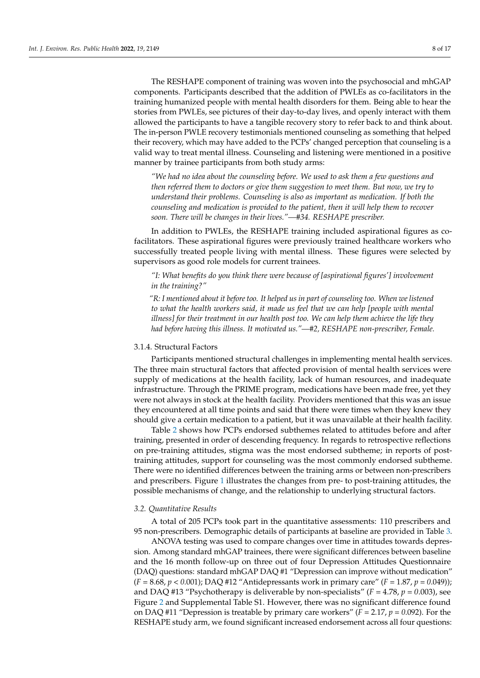The RESHAPE component of training was woven into the psychosocial and mhGAP components. Participants described that the addition of PWLEs as co-facilitators in the training humanized people with mental health disorders for them. Being able to hear the stories from PWLEs, see pictures of their day-to-day lives, and openly interact with them allowed the participants to have a tangible recovery story to refer back to and think about. The in-person PWLE recovery testimonials mentioned counseling as something that helped their recovery, which may have added to the PCPs' changed perception that counseling is a valid way to treat mental illness. Counseling and listening were mentioned in a positive manner by trainee participants from both study arms:

*"We had no idea about the counseling before. We used to ask them a few questions and then referred them to doctors or give them suggestion to meet them. But now, we try to understand their problems. Counseling is also as important as medication. If both the counseling and medication is provided to the patient, then it will help them to recover soon. There will be changes in their lives."—#34. RESHAPE prescriber.*

In addition to PWLEs, the RESHAPE training included aspirational figures as cofacilitators. These aspirational figures were previously trained healthcare workers who successfully treated people living with mental illness. These figures were selected by supervisors as good role models for current trainees.

*"I: What benefits do you think there were because of [aspirational figures'] involvement in the training?"*

*"R: I mentioned about it before too. It helped us in part of counseling too. When we listened to what the health workers said, it made us feel that we can help [people with mental illness] for their treatment in our health post too. We can help them achieve the life they had before having this illness. It motivated us."—#2, RESHAPE non-prescriber, Female.*

#### 3.1.4. Structural Factors

Participants mentioned structural challenges in implementing mental health services. The three main structural factors that affected provision of mental health services were supply of medications at the health facility, lack of human resources, and inadequate infrastructure. Through the PRIME program, medications have been made free, yet they were not always in stock at the health facility. Providers mentioned that this was an issue they encountered at all time points and said that there were times when they knew they should give a certain medication to a patient, but it was unavailable at their health facility.

Table [2](#page-10-0) shows how PCPs endorsed subthemes related to attitudes before and after training, presented in order of descending frequency. In regards to retrospective reflections on pre-training attitudes, stigma was the most endorsed subtheme; in reports of posttraining attitudes, support for counseling was the most commonly endorsed subtheme. There were no identified differences between the training arms or between non-prescribers and prescribers. Figure [1](#page-11-0) illustrates the changes from pre- to post-training attitudes, the possible mechanisms of change, and the relationship to underlying structural factors.

#### *3.2. Quantitative Results*

A total of 205 PCPs took part in the quantitative assessments: 110 prescribers and 95 non-prescribers. Demographic details of participants at baseline are provided in Table [3.](#page-11-1)

ANOVA testing was used to compare changes over time in attitudes towards depression. Among standard mhGAP trainees, there were significant differences between baseline and the 16 month follow-up on three out of four Depression Attitudes Questionnaire (DAQ) questions: standard mhGAP DAQ #1 "Depression can improve without medication" (*F* = 8.68, *p* < *0*.001); DAQ #12 "Antidepressants work in primary care" (*F* = 1.87, *p* = *0*.049)); and DAQ #13 "Psychotherapy is deliverable by non-specialists" ( $F = 4.78$ ,  $p = 0.003$ ), see Figure [2](#page-12-0) and Supplemental Table S1. However, there was no significant difference found on DAQ #11 "Depression is treatable by primary care workers" (*F* = 2.17, *p* = *0*.092). For the RESHAPE study arm, we found significant increased endorsement across all four questions: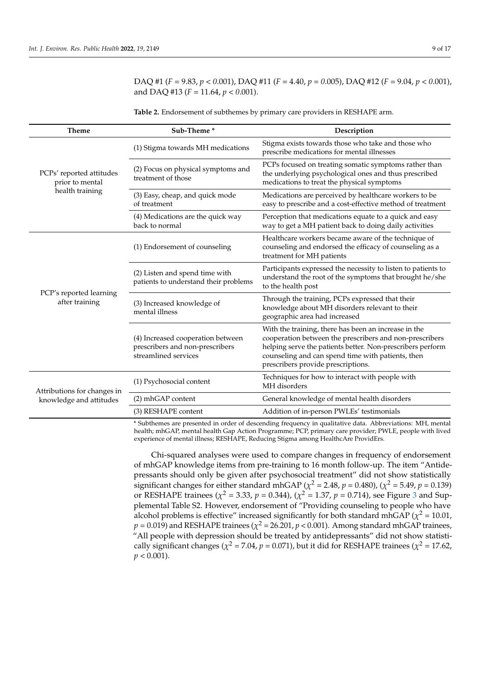DAQ #1 (*F* = 9.83, *p* < *0*.001), DAQ #11 (*F* = 4.40, *p* = *0*.005), DAQ #12 (*F* = 9.04, *p* < *0*.001), and DAQ #13 (*F* = 11.64, *p* < *0*.001).

<span id="page-10-0"></span>

| <b>Table 2.</b> Endorsement of subthemes by primary care providers in RESHAPE arm. |  |  |
|------------------------------------------------------------------------------------|--|--|
|                                                                                    |  |  |

| <b>Theme</b>                                | Sub-Theme*                                                                                                                                  | Description                                                                                                                                                                                                                                                              |  |  |
|---------------------------------------------|---------------------------------------------------------------------------------------------------------------------------------------------|--------------------------------------------------------------------------------------------------------------------------------------------------------------------------------------------------------------------------------------------------------------------------|--|--|
|                                             | (1) Stigma towards MH medications                                                                                                           | Stigma exists towards those who take and those who<br>prescribe medications for mental illnesses                                                                                                                                                                         |  |  |
| PCPs' reported attitudes<br>prior to mental | (2) Focus on physical symptoms and<br>treatment of those                                                                                    | PCPs focused on treating somatic symptoms rather than<br>the underlying psychological ones and thus prescribed<br>medications to treat the physical symptoms                                                                                                             |  |  |
| health training                             | (3) Easy, cheap, and quick mode<br>of treatment                                                                                             | Medications are perceived by healthcare workers to be<br>easy to prescribe and a cost-effective method of treatment                                                                                                                                                      |  |  |
|                                             | (4) Medications are the quick way<br>back to normal                                                                                         | Perception that medications equate to a quick and easy<br>way to get a MH patient back to doing daily activities                                                                                                                                                         |  |  |
|                                             | (1) Endorsement of counseling                                                                                                               | Healthcare workers became aware of the technique of<br>counseling and endorsed the efficacy of counseling as a<br>treatment for MH patients                                                                                                                              |  |  |
|                                             | (2) Listen and spend time with<br>patients to understand their problems                                                                     | Participants expressed the necessity to listen to patients to<br>understand the root of the symptoms that brought he/she<br>to the health post                                                                                                                           |  |  |
| PCP's reported learning<br>after training   | (3) Increased knowledge of<br>mental illness                                                                                                | Through the training, PCPs expressed that their<br>knowledge about MH disorders relevant to their<br>geographic area had increased                                                                                                                                       |  |  |
|                                             | (4) Increased cooperation between<br>prescribers and non-prescribers<br>streamlined services                                                | With the training, there has been an increase in the<br>cooperation between the prescribers and non-prescribers<br>helping serve the patients better. Non-prescribers perform<br>counseling and can spend time with patients, then<br>prescribers provide prescriptions. |  |  |
| Attributions for changes in                 | (1) Psychosocial content                                                                                                                    | Techniques for how to interact with people with<br>MH disorders                                                                                                                                                                                                          |  |  |
| knowledge and attitudes                     | (2) mhGAP content                                                                                                                           | General knowledge of mental health disorders                                                                                                                                                                                                                             |  |  |
|                                             | (3) RESHAPE content                                                                                                                         | Addition of in-person PWLEs' testimonials                                                                                                                                                                                                                                |  |  |
|                                             | $*$ C. 1. the case of $\sim$<br>. no di San Louid Lan In Cildiana.<br>a din a far an co-an in constitution. John - Alshamaictic on AATT - a |                                                                                                                                                                                                                                                                          |  |  |

Subthemes are presented in order of descending frequency in qualitative data. Abbreviations: MH, mental health; mhGAP, mental health Gap Action Programme; PCP, primary care provider; PWLE, people with lived experience of mental illness; RESHAPE, Reducing Stigma among HealthcAre ProvidErs.

Chi-squared analyses were used to compare changes in frequency of endorsement of mhGAP knowledge items from pre-training to 16 month follow-up. The item "Antidepressants should only be given after psychosocial treatment" did not show statistically significant changes for either standard mhGAP ( $\chi^2$  = 2.48,  $p$  = 0.480), ( $\chi^2$  = 5.49,  $p$  = 0.139) or RESHAPE trainees ( $\chi^2$  = [3](#page-12-1).33,  $p$  = 0.344), ( $\chi^2$  = 1.37,  $p$  = 0.714), see Figure 3 and Supplemental Table S2. However, endorsement of "Providing counseling to people who have alcohol problems is effective" increased significantly for both standard mhGAP ( $\chi^2$  = 10.01,  $p = 0.019$ ) and RESHAPE trainees ( $\chi^2$  = 26.201*, p* < 0.001). Among standard mhGAP trainees, "All people with depression should be treated by antidepressants" did not show statistically significant changes ( $\chi^2$  = 7.04,  $p$  = 0.071), but it did for RESHAPE trainees ( $\chi^2$  = 17.62,  $p < 0.001$ ).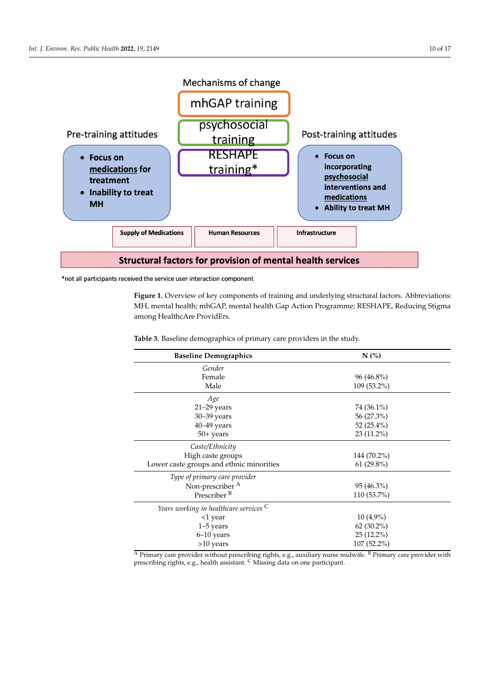<span id="page-11-0"></span>

\*not all participants received the service user interaction component

Figure 1. Overview of key components of training and underlying structural factors. Abbreviations: MH, mental health; mhGAP, mental health Gap Action Programme; RESHAPE, Reducing Stigma among HealthcAre ProvidErs.

<span id="page-11-1"></span>**Table 3.** Baseline demographics of primary care providers in the study.

| <b>Baseline Demographics</b>             | N(%          |  |
|------------------------------------------|--------------|--|
| Gender                                   |              |  |
| Female                                   | $96(46.8\%)$ |  |
| Male                                     | 109 (53.2%)  |  |
| Age                                      |              |  |
| $21-29$ years                            | 74 (36.1%)   |  |
| 30-39 years                              | 56 (27.3%)   |  |
| $40 - 49$ years                          | 52 (25.4%)   |  |
| $50+ years$                              | 23 (11.2%)   |  |
| Caste/Ethnicity                          |              |  |
| High caste groups                        | 144 (70.2%)  |  |
| Lower caste groups and ethnic minorities | $61(29.8\%)$ |  |
| Type of primary care provider            |              |  |
| Non-prescriber <sup>A</sup>              | $95(46.3\%)$ |  |
| Prescriber <sup>B</sup>                  | 110 (53.7%)  |  |
| Years working in healthcare services C   |              |  |
| <1 year                                  | $10(4.9\%)$  |  |
| $1-5$ years                              | $62(30.2\%)$ |  |
| $6-10$ years                             | 25 (12.2%)   |  |
| $>10$ years                              | 107 (52.2%)  |  |

 $\overline{A}$  Primary care provider without prescribing rights, e.g., auxiliary nurse midwife.  $B$  Primary care provider with prescribing rights, e.g., health assistant. <sup>C</sup> Missing data on one participant.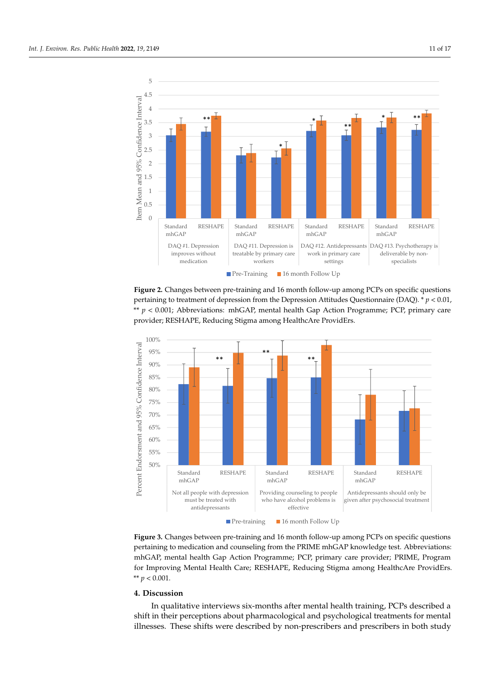<span id="page-12-0"></span>

statistically significant changes (*χ*2 = 7.04, *p* = 0.071), but it did for RESHAPE trainees (*χ*2 =

**Figure 2.** Changes between pre-training and 16 month follow-up among PCPs on specific questions **Figure 2.** Changes between pre-training and 16 month follow-up among PCPs on specific questions pertaining to treatment of depression from the Depression Attitudes Questionnaire (DAQ).  $* p < 0.01$ , \*\*  $p < 0.001$ ; Abbreviations: mhGAP, mental health Gap Action Programme; PCP, primary care provider; RESHAPE, Reducing Stigma among HealthcAre ProvidErs. provider; RESHAPE, Reducing Stigma among HealthcAre ProvidErs. provider; RESHAPE, Reducing Stigma among HealthcAre ProvidErs. pertaining to treatment of depression from the Depression Attitudes Questionnaire (DAQ). \* *p* <

<span id="page-12-1"></span>

**Figure 3.** Changes between pre-training and 16 month follow-up among PCPs on specific questions pertaining to medication and counseling from the PRIME mhGAP knowledge test. Abbreviations: mhGAP, mental health Gap Action Programme; PCP, primary care provider; PRIME, Program for Improving Mental Health Care; RESHAPE, Reducing Stigma among HealthcAre ProvidErs. \*\*  $p < 0.001$ .

#### **4. Discussion**

In qualitative interviews six-months after mental health training, PCPs described a shift in their perceptions about pharmacological and psychological treatments for mental illnesses. These shifts were described by non-prescribers and prescribers in both study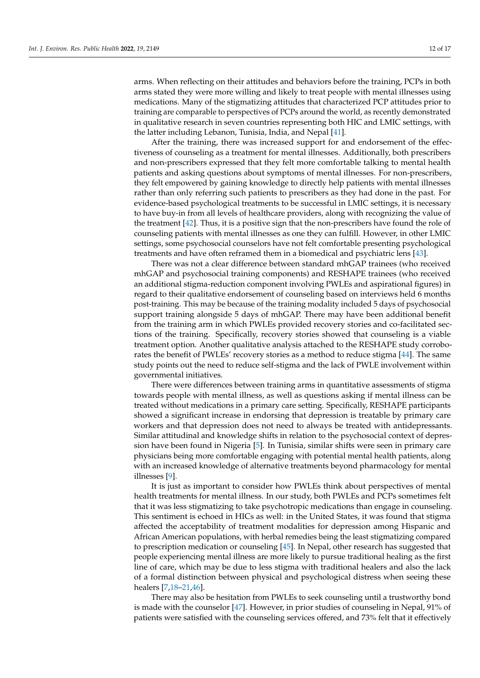arms. When reflecting on their attitudes and behaviors before the training, PCPs in both arms stated they were more willing and likely to treat people with mental illnesses using medications. Many of the stigmatizing attitudes that characterized PCP attitudes prior to training are comparable to perspectives of PCPs around the world, as recently demonstrated in qualitative research in seven countries representing both HIC and LMIC settings, with the latter including Lebanon, Tunisia, India, and Nepal [\[41\]](#page-17-13).

After the training, there was increased support for and endorsement of the effectiveness of counseling as a treatment for mental illnesses. Additionally, both prescribers and non-prescribers expressed that they felt more comfortable talking to mental health patients and asking questions about symptoms of mental illnesses. For non-prescribers, they felt empowered by gaining knowledge to directly help patients with mental illnesses rather than only referring such patients to prescribers as they had done in the past. For evidence-based psychological treatments to be successful in LMIC settings, it is necessary to have buy-in from all levels of healthcare providers, along with recognizing the value of the treatment [\[42\]](#page-17-14). Thus, it is a positive sign that the non-prescribers have found the role of counseling patients with mental illnesses as one they can fulfill. However, in other LMIC settings, some psychosocial counselors have not felt comfortable presenting psychological treatments and have often reframed them in a biomedical and psychiatric lens [\[43\]](#page-17-15).

There was not a clear difference between standard mhGAP trainees (who received mhGAP and psychosocial training components) and RESHAPE trainees (who received an additional stigma-reduction component involving PWLEs and aspirational figures) in regard to their qualitative endorsement of counseling based on interviews held 6 months post-training. This may be because of the training modality included 5 days of psychosocial support training alongside 5 days of mhGAP. There may have been additional benefit from the training arm in which PWLEs provided recovery stories and co-facilitated sections of the training. Specifically, recovery stories showed that counseling is a viable treatment option. Another qualitative analysis attached to the RESHAPE study corroborates the benefit of PWLEs' recovery stories as a method to reduce stigma [\[44\]](#page-17-16). The same study points out the need to reduce self-stigma and the lack of PWLE involvement within governmental initiatives.

There were differences between training arms in quantitative assessments of stigma towards people with mental illness, as well as questions asking if mental illness can be treated without medications in a primary care setting. Specifically, RESHAPE participants showed a significant increase in endorsing that depression is treatable by primary care workers and that depression does not need to always be treated with antidepressants. Similar attitudinal and knowledge shifts in relation to the psychosocial context of depression have been found in Nigeria [\[5\]](#page-16-2). In Tunisia, similar shifts were seen in primary care physicians being more comfortable engaging with potential mental health patients, along with an increased knowledge of alternative treatments beyond pharmacology for mental illnesses [\[9\]](#page-16-5).

It is just as important to consider how PWLEs think about perspectives of mental health treatments for mental illness. In our study, both PWLEs and PCPs sometimes felt that it was less stigmatizing to take psychotropic medications than engage in counseling. This sentiment is echoed in HICs as well: in the United States, it was found that stigma affected the acceptability of treatment modalities for depression among Hispanic and African American populations, with herbal remedies being the least stigmatizing compared to prescription medication or counseling [\[45\]](#page-17-17). In Nepal, other research has suggested that people experiencing mental illness are more likely to pursue traditional healing as the first line of care, which may be due to less stigma with traditional healers and also the lack of a formal distinction between physical and psychological distress when seeing these healers [\[7,](#page-16-4)[18](#page-16-14)[–21](#page-16-15)[,46\]](#page-17-18).

There may also be hesitation from PWLEs to seek counseling until a trustworthy bond is made with the counselor [\[47\]](#page-17-19). However, in prior studies of counseling in Nepal, 91% of patients were satisfied with the counseling services offered, and 73% felt that it effectively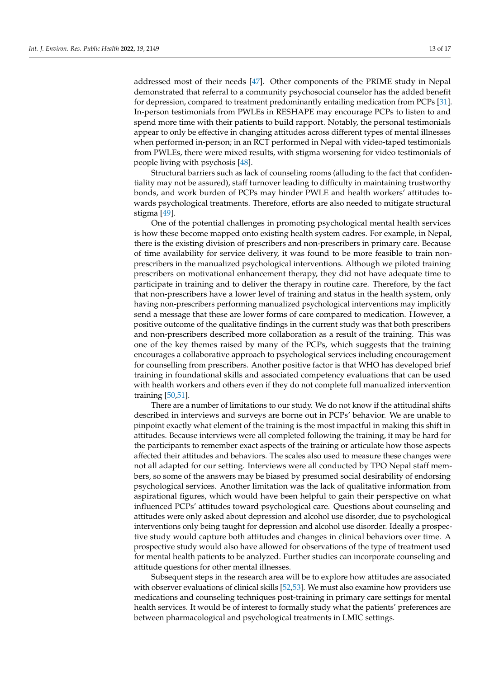addressed most of their needs [\[47\]](#page-17-19). Other components of the PRIME study in Nepal demonstrated that referral to a community psychosocial counselor has the added benefit for depression, compared to treatment predominantly entailing medication from PCPs [\[31\]](#page-17-3). In-person testimonials from PWLEs in RESHAPE may encourage PCPs to listen to and spend more time with their patients to build rapport. Notably, the personal testimonials appear to only be effective in changing attitudes across different types of mental illnesses when performed in-person; in an RCT performed in Nepal with video-taped testimonials from PWLEs, there were mixed results, with stigma worsening for video testimonials of people living with psychosis [\[48\]](#page-17-20).

Structural barriers such as lack of counseling rooms (alluding to the fact that confidentiality may not be assured), staff turnover leading to difficulty in maintaining trustworthy bonds, and work burden of PCPs may hinder PWLE and health workers' attitudes towards psychological treatments. Therefore, efforts are also needed to mitigate structural stigma [\[49\]](#page-17-21).

One of the potential challenges in promoting psychological mental health services is how these become mapped onto existing health system cadres. For example, in Nepal, there is the existing division of prescribers and non-prescribers in primary care. Because of time availability for service delivery, it was found to be more feasible to train nonprescribers in the manualized psychological interventions. Although we piloted training prescribers on motivational enhancement therapy, they did not have adequate time to participate in training and to deliver the therapy in routine care. Therefore, by the fact that non-prescribers have a lower level of training and status in the health system, only having non-prescribers performing manualized psychological interventions may implicitly send a message that these are lower forms of care compared to medication. However, a positive outcome of the qualitative findings in the current study was that both prescribers and non-prescribers described more collaboration as a result of the training. This was one of the key themes raised by many of the PCPs, which suggests that the training encourages a collaborative approach to psychological services including encouragement for counselling from prescribers. Another positive factor is that WHO has developed brief training in foundational skills and associated competency evaluations that can be used with health workers and others even if they do not complete full manualized intervention training [\[50](#page-17-22)[,51\]](#page-17-23).

There are a number of limitations to our study. We do not know if the attitudinal shifts described in interviews and surveys are borne out in PCPs' behavior. We are unable to pinpoint exactly what element of the training is the most impactful in making this shift in attitudes. Because interviews were all completed following the training, it may be hard for the participants to remember exact aspects of the training or articulate how those aspects affected their attitudes and behaviors. The scales also used to measure these changes were not all adapted for our setting. Interviews were all conducted by TPO Nepal staff members, so some of the answers may be biased by presumed social desirability of endorsing psychological services. Another limitation was the lack of qualitative information from aspirational figures, which would have been helpful to gain their perspective on what influenced PCPs' attitudes toward psychological care. Questions about counseling and attitudes were only asked about depression and alcohol use disorder, due to psychological interventions only being taught for depression and alcohol use disorder. Ideally a prospective study would capture both attitudes and changes in clinical behaviors over time. A prospective study would also have allowed for observations of the type of treatment used for mental health patients to be analyzed. Further studies can incorporate counseling and attitude questions for other mental illnesses.

Subsequent steps in the research area will be to explore how attitudes are associated with observer evaluations of clinical skills [\[52,](#page-18-0)[53\]](#page-18-1). We must also examine how providers use medications and counseling techniques post-training in primary care settings for mental health services. It would be of interest to formally study what the patients' preferences are between pharmacological and psychological treatments in LMIC settings.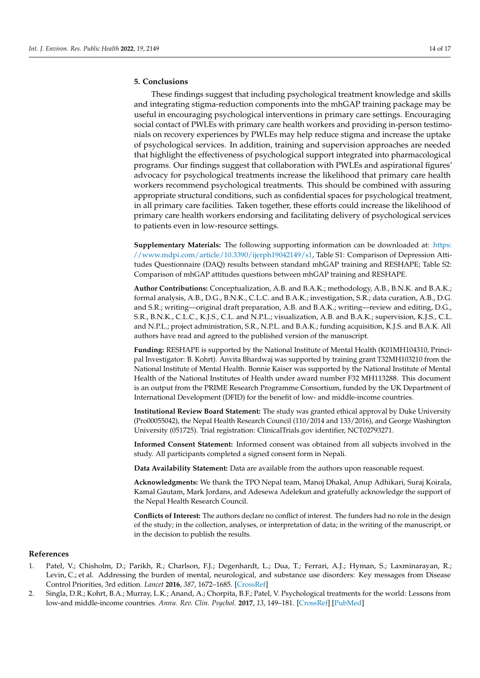#### **5. Conclusions**

These findings suggest that including psychological treatment knowledge and skills and integrating stigma-reduction components into the mhGAP training package may be useful in encouraging psychological interventions in primary care settings. Encouraging social contact of PWLEs with primary care health workers and providing in-person testimonials on recovery experiences by PWLEs may help reduce stigma and increase the uptake of psychological services. In addition, training and supervision approaches are needed that highlight the effectiveness of psychological support integrated into pharmacological programs. Our findings suggest that collaboration with PWLEs and aspirational figures' advocacy for psychological treatments increase the likelihood that primary care health workers recommend psychological treatments. This should be combined with assuring appropriate structural conditions, such as confidential spaces for psychological treatment, in all primary care facilities. Taken together, these efforts could increase the likelihood of primary care health workers endorsing and facilitating delivery of psychological services to patients even in low-resource settings.

**Supplementary Materials:** The following supporting information can be downloaded at: [https:](https://www.mdpi.com/article/10.3390/ijerph19042149/s1) [//www.mdpi.com/article/10.3390/ijerph19042149/s1,](https://www.mdpi.com/article/10.3390/ijerph19042149/s1) Table S1: Comparison of Depression Attitudes Questionnaire (DAQ) results between standard mhGAP training and RESHAPE; Table S2: Comparison of mhGAP attitudes questions between mhGAP training and RESHAPE.

**Author Contributions:** Conceptualization, A.B. and B.A.K.; methodology, A.B., B.N.K. and B.A.K.; formal analysis, A.B., D.G., B.N.K., C.L.C. and B.A.K.; investigation, S.R.; data curation, A.B., D.G. and S.R.; writing—original draft preparation, A.B. and B.A.K.; writing—review and editing, D.G., S.R., B.N.K., C.L.C., K.J.S., C.L. and N.P.L.; visualization, A.B. and B.A.K.; supervision, K.J.S., C.L. and N.P.L.; project administration, S.R., N.P.L. and B.A.K.; funding acquisition, K.J.S. and B.A.K. All authors have read and agreed to the published version of the manuscript.

**Funding:** RESHAPE is supported by the National Institute of Mental Health (K01MH104310, Principal Investigator: B. Kohrt). Anvita Bhardwaj was supported by training grant T32MH103210 from the National Institute of Mental Health. Bonnie Kaiser was supported by the National Institute of Mental Health of the National Institutes of Health under award number F32 MH113288. This document is an output from the PRIME Research Programme Consortium, funded by the UK Department of International Development (DFID) for the benefit of low- and middle-income countries.

**Institutional Review Board Statement:** The study was granted ethical approval by Duke University (Pro00055042), the Nepal Health Research Council (110/2014 and 133/2016), and George Washington University (051725). Trial registration: ClinicalTrials.gov identifier, NCT02793271.

**Informed Consent Statement:** Informed consent was obtained from all subjects involved in the study. All participants completed a signed consent form in Nepali.

**Data Availability Statement:** Data are available from the authors upon reasonable request.

**Acknowledgments:** We thank the TPO Nepal team, Manoj Dhakal, Anup Adhikari, Suraj Koirala, Kamal Gautam, Mark Jordans, and Adesewa Adelekun and gratefully acknowledge the support of the Nepal Health Research Council.

**Conflicts of Interest:** The authors declare no conflict of interest. The funders had no role in the design of the study; in the collection, analyses, or interpretation of data; in the writing of the manuscript, or in the decision to publish the results.

#### **References**

- <span id="page-15-0"></span>1. Patel, V.; Chisholm, D.; Parikh, R.; Charlson, F.J.; Degenhardt, L.; Dua, T.; Ferrari, A.J.; Hyman, S.; Laxminarayan, R.; Levin, C.; et al. Addressing the burden of mental, neurological, and substance use disorders: Key messages from Disease Control Priorities, 3rd edition. *Lancet* **2016**, *387*, 1672–1685. [\[CrossRef\]](http://doi.org/10.1016/S0140-6736(15)00390-6)
- <span id="page-15-1"></span>2. Singla, D.R.; Kohrt, B.A.; Murray, L.K.; Anand, A.; Chorpita, B.F.; Patel, V. Psychological treatments for the world: Lessons from low-and middle-income countries. *Annu. Rev. Clin. Psychol.* **2017**, *13*, 149–181. [\[CrossRef\]](http://doi.org/10.1146/annurev-clinpsy-032816-045217) [\[PubMed\]](http://www.ncbi.nlm.nih.gov/pubmed/28482687)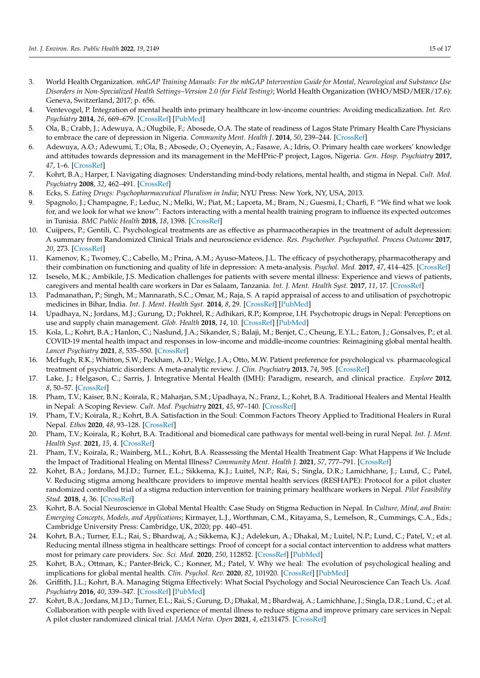- <span id="page-16-0"></span>3. World Health Organization. *mhGAP Training Manuals: For the mhGAP Intervention Guide for Mental, Neurological and Substance Use Disorders in Non-Specialized Health Settings–Version 2.0 (for Field Testing)*; World Health Organization (WHO/MSD/MER/17.6): Geneva, Switzerland, 2017; p. 656.
- <span id="page-16-1"></span>4. Ventevogel, P. Integration of mental health into primary healthcare in low-income countries: Avoiding medicalization. *Int. Rev. Psychiatry* **2014**, *26*, 669–679. [\[CrossRef\]](http://doi.org/10.3109/09540261.2014.966067) [\[PubMed\]](http://www.ncbi.nlm.nih.gov/pubmed/25553784)
- <span id="page-16-2"></span>5. Ola, B.; Crabb, J.; Adewuya, A.; Olugbile, F.; Abosede, O.A. The state of readiness of Lagos State Primary Health Care Physicians to embrace the care of depression in Nigeria. *Community Ment. Health J.* **2014**, *50*, 239–244. [\[CrossRef\]](http://doi.org/10.1007/s10597-013-9648-9)
- <span id="page-16-3"></span>6. Adewuya, A.O.; Adewumi, T.; Ola, B.; Abosede, O.; Oyeneyin, A.; Fasawe, A.; Idris, O. Primary health care workers' knowledge and attitudes towards depression and its management in the MeHPric-P project, Lagos, Nigeria. *Gen. Hosp. Psychiatry* **2017**, *47*, 1–6. [\[CrossRef\]](http://doi.org/10.1016/j.genhosppsych.2017.04.002)
- <span id="page-16-4"></span>7. Kohrt, B.A.; Harper, I. Navigating diagnoses: Understanding mind-body relations, mental health, and stigma in Nepal. *Cult. Med. Psychiatry* **2008**, *32*, 462–491. [\[CrossRef\]](http://doi.org/10.1007/s11013-008-9110-6)
- 8. Ecks, S. *Eating Drugs: Psychopharmaceutical Pluralism in India*; NYU Press: New York, NY, USA, 2013.
- <span id="page-16-5"></span>9. Spagnolo, J.; Champagne, F.; Leduc, N.; Melki, W.; Piat, M.; Laporta, M.; Bram, N.; Guesmi, I.; Charfi, F. "We find what we look for, and we look for what we know": Factors interacting with a mental health training program to influence its expected outcomes in Tunisia. *BMC Public Health* **2018**, *18*, 1398. [\[CrossRef\]](http://doi.org/10.1186/s12889-018-6261-4)
- <span id="page-16-6"></span>10. Cuijpers, P.; Gentili, C. Psychological treatments are as effective as pharmacotherapies in the treatment of adult depression: A summary from Randomized Clinical Trials and neuroscience evidence. *Res. Psychother. Psychopathol. Process Outcome* **2017**, *20*, 273. [\[CrossRef\]](http://doi.org/10.4081/ripppo.2017.273)
- <span id="page-16-7"></span>11. Kamenov, K.; Twomey, C.; Cabello, M.; Prina, A.M.; Ayuso-Mateos, J.L. The efficacy of psychotherapy, pharmacotherapy and their combination on functioning and quality of life in depression: A meta-analysis. *Psychol. Med.* **2017**, *47*, 414–425. [\[CrossRef\]](http://doi.org/10.1017/S0033291716002774)
- <span id="page-16-8"></span>12. Iseselo, M.K.; Ambikile, J.S. Medication challenges for patients with severe mental illness: Experience and views of patients, caregivers and mental health care workers in Dar es Salaam, Tanzania. *Int. J. Ment. Health Syst.* **2017**, *11*, 17. [\[CrossRef\]](http://doi.org/10.1186/s13033-017-0126-6)
- <span id="page-16-9"></span>13. Padmanathan, P.; Singh, M.; Mannarath, S.C.; Omar, M.; Raja, S. A rapid appraisal of access to and utilisation of psychotropic medicines in Bihar, India. *Int. J. Ment. Health Syst.* **2014**, *8*, 29. [\[CrossRef\]](http://doi.org/10.1186/1752-4458-8-29) [\[PubMed\]](http://www.ncbi.nlm.nih.gov/pubmed/25053976)
- <span id="page-16-10"></span>14. Upadhaya, N.; Jordans, M.J.; Gurung, D.; Pokhrel, R.; Adhikari, R.P.; Komproe, I.H. Psychotropic drugs in Nepal: Perceptions on use and supply chain management. *Glob. Health* **2018**, *14*, 10. [\[CrossRef\]](http://doi.org/10.1186/s12992-018-0322-4) [\[PubMed\]](http://www.ncbi.nlm.nih.gov/pubmed/29368618)
- <span id="page-16-11"></span>15. Kola, L.; Kohrt, B.A.; Hanlon, C.; Naslund, J.A.; Sikander, S.; Balaji, M.; Benjet, C.; Cheung, E.Y.L.; Eaton, J.; Gonsalves, P.; et al. COVID-19 mental health impact and responses in low-income and middle-income countries: Reimagining global mental health. *Lancet Psychiatry* **2021**, *8*, 535–550. [\[CrossRef\]](http://doi.org/10.1016/S2215-0366(21)00025-0)
- <span id="page-16-12"></span>16. McHugh, R.K.; Whitton, S.W.; Peckham, A.D.; Welge, J.A.; Otto, M.W. Patient preference for psychological vs. pharmacological treatment of psychiatric disorders: A meta-analytic review. *J. Clin. Psychiatry* **2013**, *74*, 595. [\[CrossRef\]](http://doi.org/10.4088/JCP.12r07757)
- <span id="page-16-13"></span>17. Lake, J.; Helgason, C.; Sarris, J. Integrative Mental Health (IMH): Paradigm, research, and clinical practice. *Explore* **2012**, *8*, 50–57. [\[CrossRef\]](http://doi.org/10.1016/j.explore.2011.10.001)
- <span id="page-16-14"></span>18. Pham, T.V.; Kaiser, B.N.; Koirala, R.; Maharjan, S.M.; Upadhaya, N.; Franz, L.; Kohrt, B.A. Traditional Healers and Mental Health in Nepal: A Scoping Review. *Cult. Med. Psychiatry* **2021**, *45*, 97–140. [\[CrossRef\]](http://doi.org/10.1007/s11013-020-09676-4)
- 19. Pham, T.V.; Koirala, R.; Kohrt, B.A. Satisfaction in the Soul: Common Factors Theory Applied to Traditional Healers in Rural Nepal. *Ethos* **2020**, *48*, 93–128. [\[CrossRef\]](http://doi.org/10.1111/etho.12263)
- 20. Pham, T.V.; Koirala, R.; Kohrt, B.A. Traditional and biomedical care pathways for mental well-being in rural Nepal. *Int. J. Ment. Health Syst.* **2021**, *15*, 4. [\[CrossRef\]](http://doi.org/10.1186/s13033-020-00433-z)
- <span id="page-16-15"></span>21. Pham, T.V.; Koirala, R.; Wainberg, M.L.; Kohrt, B.A. Reassessing the Mental Health Treatment Gap: What Happens if We Include the Impact of Traditional Healing on Mental Illness? *Community Ment. Health J.* **2021**, *57*, 777–791. [\[CrossRef\]](http://doi.org/10.1007/s10597-020-00705-5)
- <span id="page-16-16"></span>22. Kohrt, B.A.; Jordans, M.J.D.; Turner, E.L.; Sikkema, K.J.; Luitel, N.P.; Rai, S.; Singla, D.R.; Lamichhane, J.; Lund, C.; Patel, V. Reducing stigma among healthcare providers to improve mental health services (RESHAPE): Protocol for a pilot cluster randomized controlled trial of a stigma reduction intervention for training primary healthcare workers in Nepal. *Pilot Feasibility Stud.* **2018**, *4*, 36. [\[CrossRef\]](http://doi.org/10.1186/s40814-018-0234-3)
- <span id="page-16-17"></span>23. Kohrt, B.A. Social Neuroscience in Global Mental Health: Case Study on Stigma Reduction in Nepal. In *Culture, Mind, and Brain: Emerging Concepts, Models, and Applications*; Kirmayer, L.J., Worthman, C.M., Kitayama, S., Lemelson, R., Cummings, C.A., Eds.; Cambridge University Press: Cambridge, UK, 2020; pp. 440–451.
- <span id="page-16-20"></span>24. Kohrt, B.A.; Turner, E.L.; Rai, S.; Bhardwaj, A.; Sikkema, K.J.; Adelekun, A.; Dhakal, M.; Luitel, N.P.; Lund, C.; Patel, V.; et al. Reducing mental illness stigma in healthcare settings: Proof of concept for a social contact intervention to address what matters most for primary care providers. *Soc. Sci. Med.* **2020**, *250*, 112852. [\[CrossRef\]](http://doi.org/10.1016/j.socscimed.2020.112852) [\[PubMed\]](http://www.ncbi.nlm.nih.gov/pubmed/32135459)
- 25. Kohrt, B.A.; Ottman, K.; Panter-Brick, C.; Konner, M.; Patel, V. Why we heal: The evolution of psychological healing and implications for global mental health. *Clin. Psychol. Rev.* **2020**, *82*, 101920. [\[CrossRef\]](http://doi.org/10.1016/j.cpr.2020.101920) [\[PubMed\]](http://www.ncbi.nlm.nih.gov/pubmed/33126037)
- <span id="page-16-18"></span>26. Griffith, J.L.; Kohrt, B.A. Managing Stigma Effectively: What Social Psychology and Social Neuroscience Can Teach Us. *Acad. Psychiatry* **2016**, *40*, 339–347. [\[CrossRef\]](http://doi.org/10.1007/s40596-015-0391-0) [\[PubMed\]](http://www.ncbi.nlm.nih.gov/pubmed/26162463)
- <span id="page-16-19"></span>27. Kohrt, B.A.; Jordans, M.J.D.; Turner, E.L.; Rai, S.; Gurung, D.; Dhakal, M.; Bhardwaj, A.; Lamichhane, J.; Singla, D.R.; Lund, C.; et al. Collaboration with people with lived experience of mental illness to reduce stigma and improve primary care services in Nepal: A pilot cluster randomized clinical trial. *JAMA Netw. Open* **2021**, *4*, e2131475. [\[CrossRef\]](http://doi.org/10.1001/jamanetworkopen.2021.31475)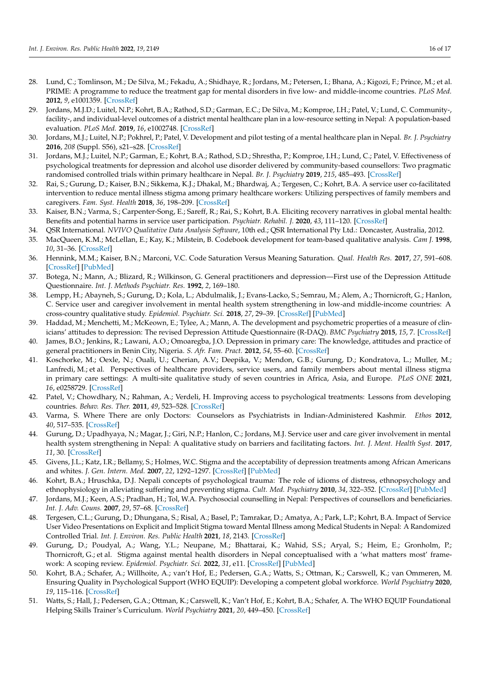- <span id="page-17-0"></span>28. Lund, C.; Tomlinson, M.; De Silva, M.; Fekadu, A.; Shidhaye, R.; Jordans, M.; Petersen, I.; Bhana, A.; Kigozi, F.; Prince, M.; et al. PRIME: A programme to reduce the treatment gap for mental disorders in five low- and middle-income countries. *PLoS Med.* **2012**, *9*, e1001359. [\[CrossRef\]](http://doi.org/10.1371/journal.pmed.1001359)
- <span id="page-17-1"></span>29. Jordans, M.J.D.; Luitel, N.P.; Kohrt, B.A.; Rathod, S.D.; Garman, E.C.; De Silva, M.; Komproe, I.H.; Patel, V.; Lund, C. Community-, facility-, and individual-level outcomes of a district mental healthcare plan in a low-resource setting in Nepal: A population-based evaluation. *PLoS Med.* **2019**, *16*, e1002748. [\[CrossRef\]](http://doi.org/10.1371/journal.pmed.1002748)
- <span id="page-17-2"></span>30. Jordans, M.J.; Luitel, N.P.; Pokhrel, P.; Patel, V. Development and pilot testing of a mental healthcare plan in Nepal. *Br. J. Psychiatry* **2016**, *208* (Suppl. S56), s21–s28. [\[CrossRef\]](http://doi.org/10.1192/bjp.bp.114.153718)
- <span id="page-17-3"></span>31. Jordans, M.J.; Luitel, N.P.; Garman, E.; Kohrt, B.A.; Rathod, S.D.; Shrestha, P.; Komproe, I.H.; Lund, C.; Patel, V. Effectiveness of psychological treatments for depression and alcohol use disorder delivered by community-based counsellors: Two pragmatic randomised controlled trials within primary healthcare in Nepal. *Br. J. Psychiatry* **2019**, *215*, 485–493. [\[CrossRef\]](http://doi.org/10.1192/bjp.2018.300)
- <span id="page-17-4"></span>32. Rai, S.; Gurung, D.; Kaiser, B.N.; Sikkema, K.J.; Dhakal, M.; Bhardwaj, A.; Tergesen, C.; Kohrt, B.A. A service user co-facilitated intervention to reduce mental illness stigma among primary healthcare workers: Utilizing perspectives of family members and caregivers. *Fam. Syst. Health* **2018**, *36*, 198–209. [\[CrossRef\]](http://doi.org/10.1037/fsh0000338)
- <span id="page-17-5"></span>33. Kaiser, B.N.; Varma, S.; Carpenter-Song, E.; Sareff, R.; Rai, S.; Kohrt, B.A. Eliciting recovery narratives in global mental health: Benefits and potential harms in service user participation. *Psychiatr. Rehabil. J.* **2020**, *43*, 111–120. [\[CrossRef\]](http://doi.org/10.1037/prj0000384)
- <span id="page-17-6"></span>34. QSR International. *NVIVO Qualitative Data Analysis Software*, 10th ed.; QSR International Pty Ltd.: Doncaster, Australia, 2012.
- <span id="page-17-7"></span>35. MacQueen, K.M.; McLellan, E.; Kay, K.; Milstein, B. Codebook development for team-based qualitative analysis. *Cam J.* **1998**, *10*, 31–36. [\[CrossRef\]](http://doi.org/10.1177/1525822X980100020301)
- <span id="page-17-8"></span>36. Hennink, M.M.; Kaiser, B.N.; Marconi, V.C. Code Saturation Versus Meaning Saturation. *Qual. Health Res.* **2017**, *27*, 591–608. [\[CrossRef\]](http://doi.org/10.1177/1049732316665344) [\[PubMed\]](http://www.ncbi.nlm.nih.gov/pubmed/27670770)
- <span id="page-17-9"></span>37. Botega, N.; Mann, A.; Blizard, R.; Wilkinson, G. General practitioners and depression—First use of the Depression Attitude Questionnaire. *Int. J. Methods Psychiatr. Res.* **1992**, *2*, 169–180.
- <span id="page-17-10"></span>38. Lempp, H.; Abayneh, S.; Gurung, D.; Kola, L.; Abdulmalik, J.; Evans-Lacko, S.; Semrau, M.; Alem, A.; Thornicroft, G.; Hanlon, C. Service user and caregiver involvement in mental health system strengthening in low-and middle-income countries: A cross-country qualitative study. *Epidemiol. Psychiatr. Sci.* **2018**, *27*, 29–39. [\[CrossRef\]](http://doi.org/10.1017/S2045796017000634) [\[PubMed\]](http://www.ncbi.nlm.nih.gov/pubmed/29113598)
- <span id="page-17-11"></span>39. Haddad, M.; Menchetti, M.; McKeown, E.; Tylee, A.; Mann, A. The development and psychometric properties of a measure of clinicians' attitudes to depression: The revised Depression Attitude Questionnaire (R-DAQ). *BMC Psychiatry* **2015**, *15*, 7. [\[CrossRef\]](http://doi.org/10.1186/s12888-014-0381-x)
- <span id="page-17-12"></span>40. James, B.O.; Jenkins, R.; Lawani, A.O.; Omoaregba, J.O. Depression in primary care: The knowledge, attitudes and practice of general practitioners in Benin City, Nigeria. *S. Afr. Fam. Pract.* **2012**, *54*, 55–60. [\[CrossRef\]](http://doi.org/10.1080/20786204.2012.10874176)
- <span id="page-17-13"></span>41. Koschorke, M.; Oexle, N.; Ouali, U.; Cherian, A.V.; Deepika, V.; Mendon, G.B.; Gurung, D.; Kondratova, L.; Muller, M.; Lanfredi, M.; et al. Perspectives of healthcare providers, service users, and family members about mental illness stigma in primary care settings: A multi-site qualitative study of seven countries in Africa, Asia, and Europe. *PLoS ONE* **2021**, *16*, e0258729. [\[CrossRef\]](http://doi.org/10.1371/journal.pone.0258729)
- <span id="page-17-14"></span>42. Patel, V.; Chowdhary, N.; Rahman, A.; Verdeli, H. Improving access to psychological treatments: Lessons from developing countries. *Behav. Res. Ther.* **2011**, *49*, 523–528. [\[CrossRef\]](http://doi.org/10.1016/j.brat.2011.06.012)
- <span id="page-17-15"></span>43. Varma, S. Where There are only Doctors: Counselors as Psychiatrists in Indian-Administered Kashmir. *Ethos* **2012**, *40*, 517–535. [\[CrossRef\]](http://doi.org/10.1111/j.1548-1352.2012.01274.x)
- <span id="page-17-16"></span>44. Gurung, D.; Upadhyaya, N.; Magar, J.; Giri, N.P.; Hanlon, C.; Jordans, M.J. Service user and care giver involvement in mental health system strengthening in Nepal: A qualitative study on barriers and facilitating factors. *Int. J. Ment. Health Syst.* **2017**, *11*, 30. [\[CrossRef\]](http://doi.org/10.1186/s13033-017-0139-1)
- <span id="page-17-17"></span>45. Givens, J.L.; Katz, I.R.; Bellamy, S.; Holmes, W.C. Stigma and the acceptability of depression treatments among African Americans and whites. *J. Gen. Intern. Med.* **2007**, *22*, 1292–1297. [\[CrossRef\]](http://doi.org/10.1007/s11606-007-0276-3) [\[PubMed\]](http://www.ncbi.nlm.nih.gov/pubmed/17610120)
- <span id="page-17-18"></span>46. Kohrt, B.A.; Hruschka, D.J. Nepali concepts of psychological trauma: The role of idioms of distress, ethnopsychology and ethnophysiology in alleviating suffering and preventing stigma. *Cult. Med. Psychiatry* **2010**, *34*, 322–352. [\[CrossRef\]](http://doi.org/10.1007/s11013-010-9170-2) [\[PubMed\]](http://www.ncbi.nlm.nih.gov/pubmed/20309724)
- <span id="page-17-19"></span>47. Jordans, M.J.; Keen, A.S.; Pradhan, H.; Tol, W.A. Psychosocial counselling in Nepal: Perspectives of counsellors and beneficiaries. *Int. J. Adv. Couns.* **2007**, *29*, 57–68. [\[CrossRef\]](http://doi.org/10.1007/s10447-006-9028-z)
- <span id="page-17-20"></span>48. Tergesen, C.L.; Gurung, D.; Dhungana, S.; Risal, A.; Basel, P.; Tamrakar, D.; Amatya, A.; Park, L.P.; Kohrt, B.A. Impact of Service User Video Presentations on Explicit and Implicit Stigma toward Mental Illness among Medical Students in Nepal: A Randomized Controlled Trial. *Int. J. Environ. Res. Public Health* **2021**, *18*, 2143. [\[CrossRef\]](http://doi.org/10.3390/ijerph18042143)
- <span id="page-17-21"></span>49. Gurung, D.; Poudyal, A.; Wang, Y.L.; Neupane, M.; Bhattarai, K.; Wahid, S.S.; Aryal, S.; Heim, E.; Gronholm, P.; Thornicroft, G.; et al. Stigma against mental health disorders in Nepal conceptualised with a 'what matters most' framework: A scoping review. *Epidemiol. Psychiatr. Sci.* **2022**, *31*, e11. [\[CrossRef\]](http://doi.org/10.1017/S2045796021000809) [\[PubMed\]](http://www.ncbi.nlm.nih.gov/pubmed/35086602)
- <span id="page-17-22"></span>50. Kohrt, B.A.; Schafer, A.; Willhoite, A.; van't Hof, E.; Pedersen, G.A.; Watts, S.; Ottman, K.; Carswell, K.; van Ommeren, M. Ensuring Quality in Psychological Support (WHO EQUIP): Developing a competent global workforce. *World Psychiatry* **2020**, *19*, 115–116. [\[CrossRef\]](http://doi.org/10.1002/wps.20704)
- <span id="page-17-23"></span>51. Watts, S.; Hall, J.; Pedersen, G.A.; Ottman, K.; Carswell, K.; Van't Hof, E.; Kohrt, B.A.; Schafer, A. The WHO EQUIP Foundational Helping Skills Trainer's Curriculum. *World Psychiatry* **2021**, *20*, 449–450. [\[CrossRef\]](http://doi.org/10.1002/wps.20880)